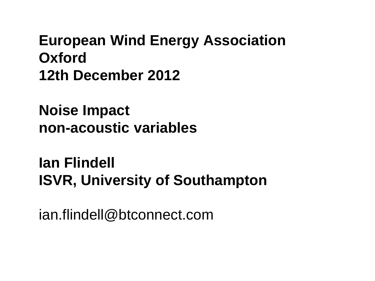# **European Wind Energy Association Oxford 12th December 2012**

**Noise Impact non-acoustic variables**

**Ian Flindell ISVR, University of Southampton**

ian.flindell@btconnect.com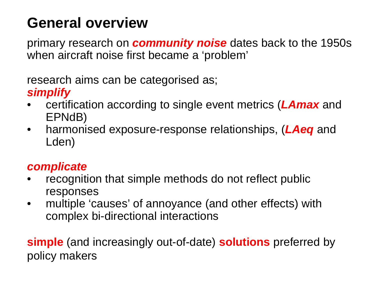# **General overview**

primary research on *community noise* dates back to the 1950s when aircraft noise first became a 'problem'

research aims can be categorised as;

#### *simplify*

- certification according to single event metrics (*LAmax* and EPNdB)
- harmonised exposure-response relationships, (*LAeq* and Lden)

#### *complicate*

- recognition that simple methods do not reflect public responses
- multiple 'causes' of annoyance (and other effects) with complex bi-directional interactions

**simple** (and increasingly out-of-date) **solutions** preferred by policy makers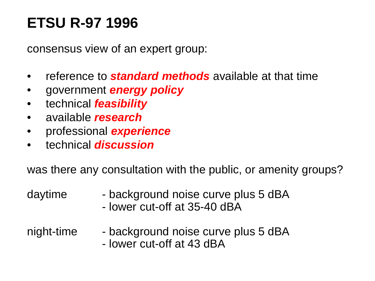# **ETSU R-97 1996**

consensus view of an expert group:

- reference to *standard methods* available at that time
- government *energy policy*
- technical *feasibility*
- available *research*
- professional *experience*
- technical *discussion*

was there any consultation with the public, or amenity groups?

- daytime background noise curve plus 5 dBA
	- lower cut-off at 35-40 dBA

- night-time background noise curve plus 5 dBA
	- lower cut-off at 43 dBA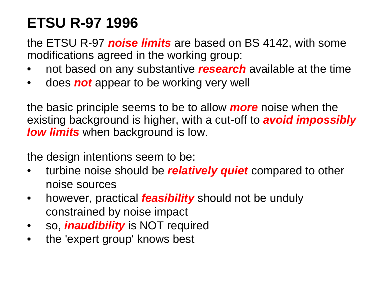# **ETSU R-97 1996**

the ETSU R-97 *noise limits* are based on BS 4142, with some modifications agreed in the working group:

- not based on any substantive *research* available at the time
- does *not* appear to be working very well

the basic principle seems to be to allow *more* noise when the existing background is higher, with a cut-off to *avoid impossibly low limits* when background is low.

the design intentions seem to be:

- turbine noise should be *relatively quiet* compared to other noise sources
- however, practical *feasibility* should not be unduly constrained by noise impact
- so, *inaudibility* is NOT required
- the 'expert group' knows best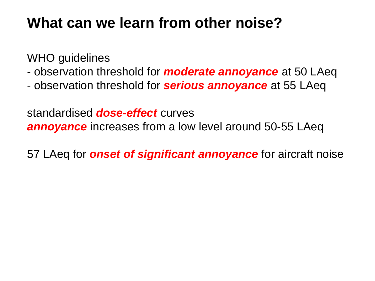## **What can we learn from other noise?**

WHO guidelines

- observation threshold for *moderate annoyance* at 50 LAeq
- observation threshold for *serious annoyance* at 55 LAeq

standardised *dose-effect* curves *annoyance* increases from a low level around 50-55 LAeq

57 LAeq for *onset of significant annoyance* for aircraft noise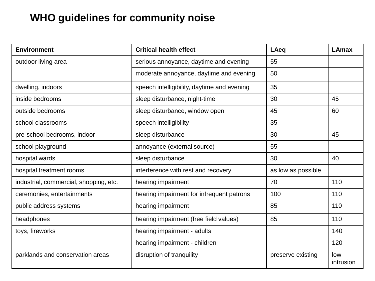### **WHO guidelines for community noise**

| <b>Environment</b>                     | <b>Critical health effect</b>               | <b>LAeg</b>        | <b>LAmax</b>     |
|----------------------------------------|---------------------------------------------|--------------------|------------------|
| outdoor living area                    | serious annoyance, daytime and evening      | 55                 |                  |
|                                        | moderate annoyance, daytime and evening     | 50                 |                  |
| dwelling, indoors                      | speech intelligibility, daytime and evening | 35                 |                  |
| inside bedrooms                        | sleep disturbance, night-time               | 30                 | 45               |
| outside bedrooms                       | sleep disturbance, window open              | 45                 | 60               |
| school classrooms                      | speech intelligibility                      | 35                 |                  |
| pre-school bedrooms, indoor            | sleep disturbance                           | 30                 | 45               |
| school playground                      | annoyance (external source)                 | 55                 |                  |
| hospital wards                         | sleep disturbance                           | 30                 | 40               |
| hospital treatment rooms               | interference with rest and recovery         | as low as possible |                  |
| industrial, commercial, shopping, etc. | hearing impairment                          | 70                 | 110              |
| ceremonies, entertainments             | hearing impairment for infrequent patrons   | 100                | 110              |
| public address systems                 | hearing impairment                          | 85                 | 110              |
| headphones                             | hearing impairment (free field values)      | 85                 | 110              |
| toys, fireworks                        | hearing impairment - adults                 |                    | 140              |
|                                        | hearing impairment - children               |                    | 120              |
| parklands and conservation areas       | disruption of tranquility                   | preserve existing  | low<br>intrusion |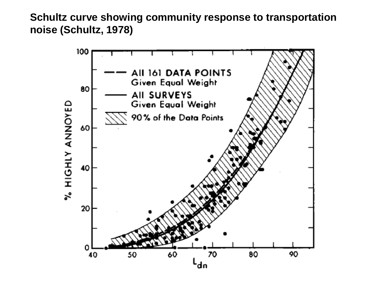**Schultz curve showing community response to transportation noise (Schultz, 1978)**

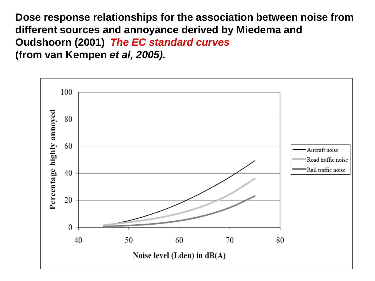**Dose response relationships for the association between noise from different sources and annoyance derived by Miedema and Oudshoorn (2001)** *The EC standard curves* **(from van Kempen** *et al, 2005).*

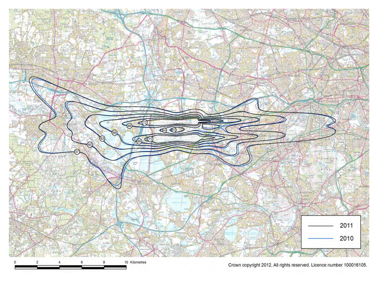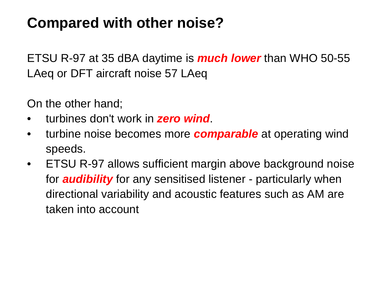# **Compared with other noise?**

ETSU R-97 at 35 dBA daytime is *much lower* than WHO 50-55 LAeq or DFT aircraft noise 57 LAeq

On the other hand;

- turbines don't work in *zero wind*.
- turbine noise becomes more *comparable* at operating wind speeds.
- ETSU R-97 allows sufficient margin above background noise for *audibility* for any sensitised listener - particularly when directional variability and acoustic features such as AM are taken into account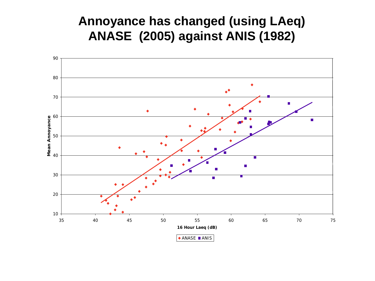### **Annoyance has changed (using LAeq) ANASE (2005) against ANIS (1982)**

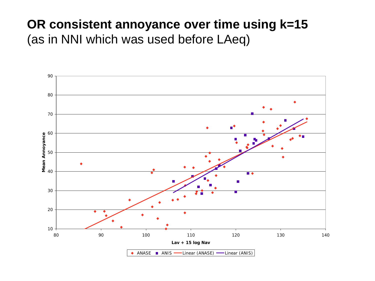### **OR consistent annoyance over time using k=15**  (as in NNI which was used before LAeq)

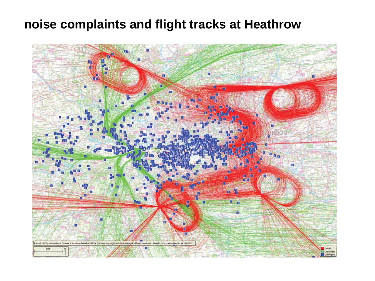### **noise complaints and flight tracks at Heathrow**

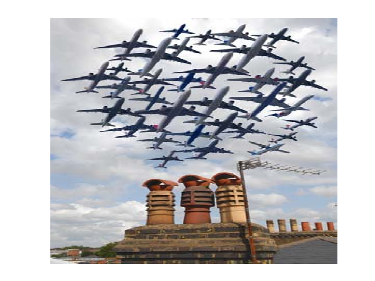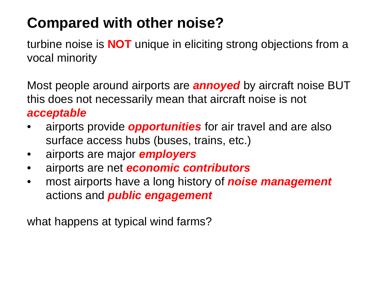# **Compared with other noise?**

turbine noise is **NOT** unique in eliciting strong objections from a vocal minority

Most people around airports are *annoyed* by aircraft noise BUT this does not necessarily mean that aircraft noise is not *acceptable*

- airports provide *opportunities* for air travel and are also surface access hubs (buses, trains, etc.)
- airports are major *employers*
- airports are net *economic contributors*
- most airports have a long history of *noise management*  actions and *public engagement*

what happens at typical wind farms?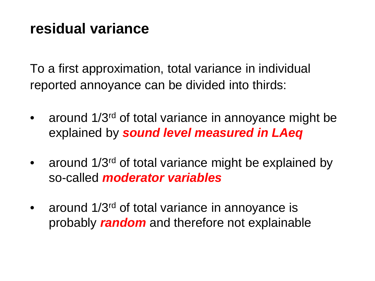## **residual variance**

To a first approximation, total variance in individual reported annoyance can be divided into thirds:

- around 1/3<sup>rd</sup> of total variance in annoyance might be explained by *sound level measured in LAeq*
- around 1/3<sup>rd</sup> of total variance might be explained by so-called *moderator variables*
- around 1/3<sup>rd</sup> of total variance in annoyance is probably *random* and therefore not explainable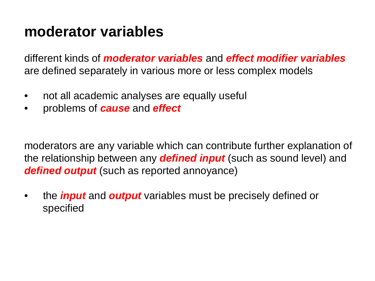## **moderator variables**

different kinds of *moderator variables* and *effect modifier variables* are defined separately in various more or less complex models

- not all academic analyses are equally useful
- problems of *cause* and *effect*

moderators are any variable which can contribute further explanation of the relationship between any *defined input* (such as sound level) and *defined output* (such as reported annoyance)

• the *input* and *output* variables must be precisely defined or specified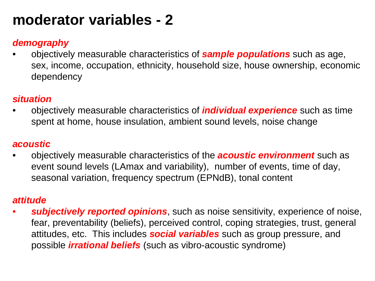# **moderator variables - 2**

#### *demography*

• objectively measurable characteristics of *sample populations* such as age, sex, income, occupation, ethnicity, household size, house ownership, economic dependency

#### *situation*

• objectively measurable characteristics of *individual experience* such as time spent at home, house insulation, ambient sound levels, noise change

#### *acoustic*

• objectively measurable characteristics of the *acoustic environment* such as event sound levels (LAmax and variability), number of events, time of day, seasonal variation, frequency spectrum (EPNdB), tonal content

#### *attitude*

• *subjectively reported opinions*, such as noise sensitivity, experience of noise, fear, preventability (beliefs), perceived control, coping strategies, trust, general attitudes, etc. This includes *social variables* such as group pressure, and possible *irrational beliefs* (such as vibro-acoustic syndrome)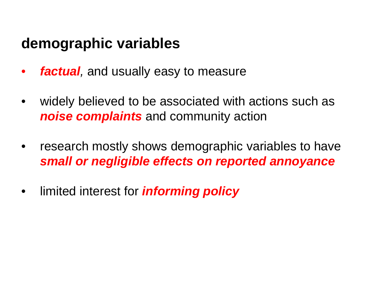## **demographic variables**

- *factual,* and usually easy to measure
- widely believed to be associated with actions such as *noise complaints* and community action
- research mostly shows demographic variables to have *small or negligible effects on reported annoyance*
- limited interest for *informing policy*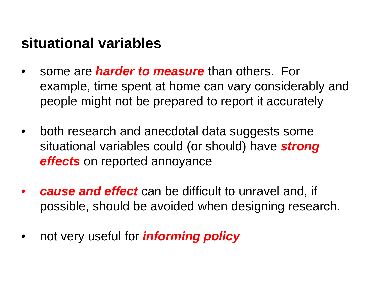## **situational variables**

- some are *harder to measure* than others. For example, time spent at home can vary considerably and people might not be prepared to report it accurately
- both research and anecdotal data suggests some situational variables could (or should) have *strong effects* on reported annoyance
- *cause and effect* can be difficult to unravel and, if possible, should be avoided when designing research.
- not very useful for *informing policy*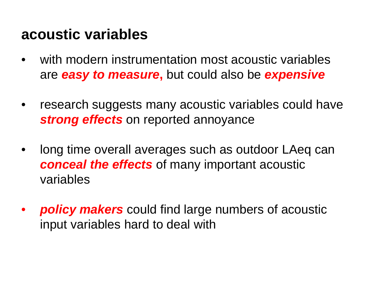## **acoustic variables**

- with modern instrumentation most acoustic variables are *easy to measure***,** but could also be *expensive*
- research suggests many acoustic variables could have *strong effects* on reported annoyance
- long time overall averages such as outdoor LAeq can *conceal the effects* of many important acoustic variables
- *policy makers* could find large numbers of acoustic input variables hard to deal with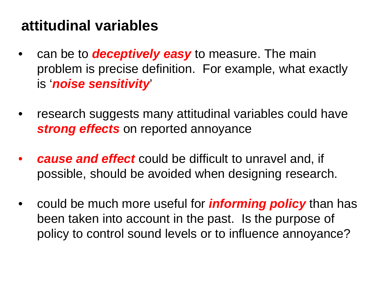# **attitudinal variables**

- can be to *deceptively easy* to measure. The main problem is precise definition. For example, what exactly is '*noise sensitivity*'
- research suggests many attitudinal variables could have *strong effects* on reported annoyance
- *cause and effect* could be difficult to unravel and, if possible, should be avoided when designing research.
- could be much more useful for *informing policy* than has been taken into account in the past. Is the purpose of policy to control sound levels or to influence annoyance?